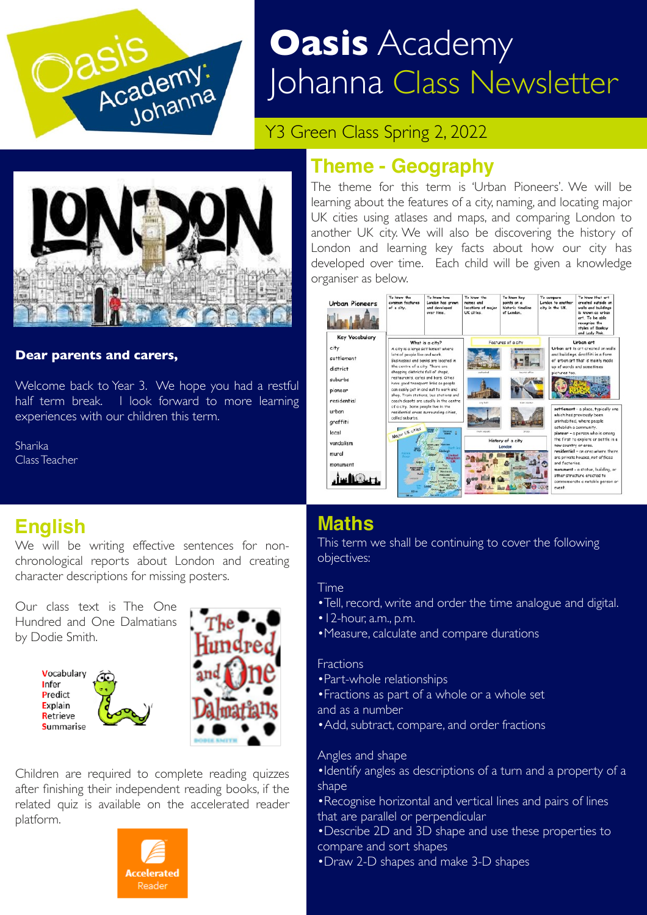

# **Oasis** Academy Johanna Class Newsletter

Y3 Green Class Spring 2, 2022



#### **Dear parents and carers,**

Welcome back to Year 3. We hope you had a restful half term break. I look forward to more learning experiences with our children this term.

Sharika Class Teacher

# **Theme - Geography**

The theme for this term is 'Urban Pioneers'. We will be learning about the features of a city, naming, and locating major UK cities using atlases and maps, and comparing London to another UK city. We will also be discovering the history of London and learning key facts about how our city has developed over time. Each child will be given a knowledge organiser as below.



# **English**

We will be writing effective sentences for nonchronological reports about London and creating character descriptions for missing posters.

Our class text is The One Hundred and One Dalmatians by Dodie Smith.





Children are required to complete reading quizzes after finishing their independent reading books, if the related quiz is available on the accelerated reader platform.



# **Maths**

This term we shall be continuing to cover the following objectives:

#### Time

- •Tell, record, write and order the time analogue and digital.
- •12-hour, a.m., p.m.
- •Measure, calculate and compare durations

#### Fractions

- •Part-whole relationships
- •Fractions as part of a whole or a whole set and as a number
- •Add, subtract, compare, and order fractions

#### Angles and shape

- •Identify angles as descriptions of a turn and a property of a shape
- •Recognise horizontal and vertical lines and pairs of lines that are parallel or perpendicular
- •Describe 2D and 3D shape and use these properties to compare and sort shapes
- •Draw 2-D shapes and make 3-D shapes